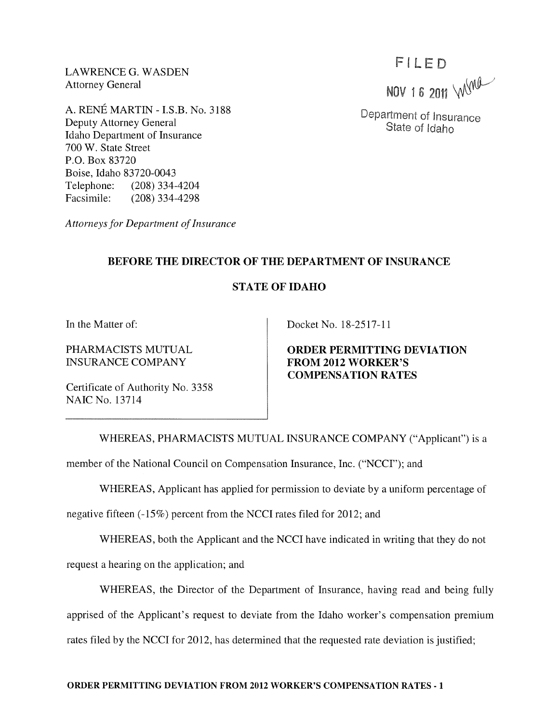LAWRENCE G. WASDEN Attorney General

A. RENE MARTIN - LS.B. No. 3188 Deputy Attorney General Idaho Department of Insurance 700 W. State Street P.O. Box 83720 Boise, Idaho 83720-0043 Telephone: (208) 334-4204 Facsimile: (208) 334-4298

*Attorneys for Department of Insurance* 

### **BEFORE THE DIRECTOR OF THE DEPARTMENT OF INSURANCE**

### **STATE OF IDAHO**

**In** the Matter of:

PHARMACISTS MUTUAL INSURANCE COMPANY

Certificate of Authority No. 3358 NAIC No. 13714

Docket No. 18-2517-11

**ORDER PERMITTING DEVIATION FROM 2012 WORKER'S COMPENSATION RATES** 

WHEREAS, PHARMACISTS MUTUAL INSURANCE COMPANY ("Applicant") is a

member of the National Council on Compensation Insurance, Inc. ("NCCI"); and

WHEREAS, Applicant has applied for permission to deviate by a uniform percentage of

negative fifteen (-15%) percent from the NCCI rates filed for 2012; and

WHEREAS, both the Applicant and the NCCI have indicated in writing that they do not

request a hearing on the application; and

WHEREAS, the Director of the Department of Insurance, having read and being fully apprised of the Applicant's request to deviate from the Idaho worker's compensation premium rates filed by the NCCI for 2012, has determined that the requested rate deviation is justified;

## FILED

NOV 16 2011 WWW

Department of Insurance State of Idaho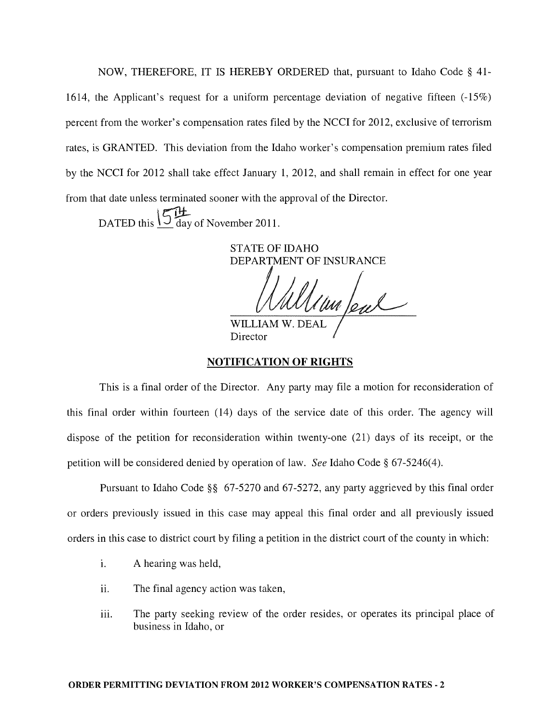NOW, THEREFORE, IT IS HEREBY ORDERED that, pursuant to Idaho Code § 41- 1614, the Applicant's request for a uniform percentage deviation of negative fifteen (-15%) percent from the worker's compensation rates filed by the NCCI for 2012, exclusive of terrorism rates, is GRANTED. This deviation from the Idaho worker's compensation premium rates filed by the NCCI for 2012 shall take effect January 1, 2012, and shall remain in effect for one year from that date unless terminated sooner with the approval of the Director.

DATED this  $\frac{15}{9}$  day of November 2011.

**STATE OF IDAHO** DEPARTMENT OF INSURANCE un feal

WILLIAM W. DEA Director

#### NOTIFICATION OF RIGHTS

This is a final order of the Director. Any party may file a motion for reconsideration of this final order within fourteen (14) days of the service date of this order. The agency will dispose of the petition for reconsideration within twenty-one (21) days of its receipt, or the petition will be considered denied by operation of law. *See* Idaho Code § 67-5246(4).

Pursuant to Idaho Code §§ 67-5270 and 67-5272, any party aggrieved by this final order or orders previously issued in this case may appeal this final order and all previously issued orders in this case to district court by filing a petition in the district court of the county in which:

- i. A hearing was held,
- ii. The final agency action was taken,
- iii. The party seeking review of the order resides, or operates its principal place of business in Idaho, or